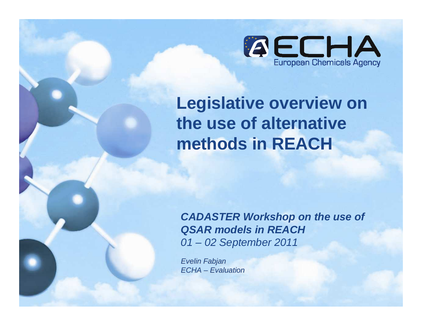

**Legislative overview on the use of alternative methods in REACH** 

**CADASTER Workshop on the use of QSAR models in REACH**01 – 02 September 2011

Evelin FabjanECHA – Evaluation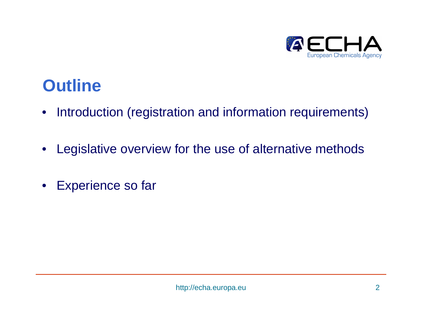

## **Outline**

- Introduction (registration and information requirements)
- $\bullet$ Legislative overview for the use of alternative methods
- Experience so far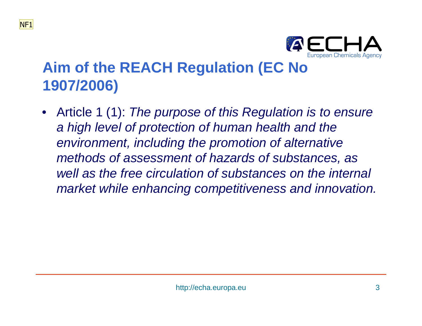

### **Aim of the REACH Regulation (EC No 1907/2006)**

• Article 1 (1): The purpose of this Regulation is to ensure a high level of protection of human health and the environment, including the promotion of alternative methods of assessment of hazards of substances, as well as the free circulation of substances on the internal market while enhancing competitiveness and innovation.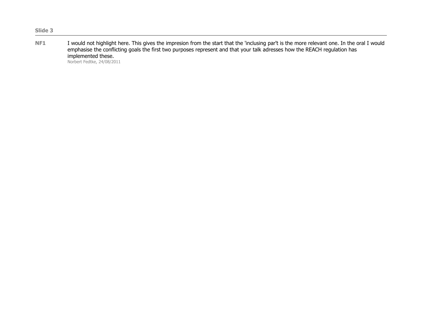I would not highlight here. This gives the impresion from the start that the 'inclusing par't is the more relevant one. In the oral I would<br>emphasise the conflicting goals the first two purposes represent and that your tal implemented these.

Norbert Fedtke, 24/08/2011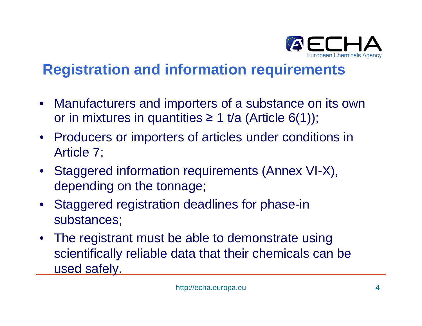

### **Registration and information requirements**

- Manufacturers and importers of a substance on its own or in mixtures in quantities ≥ 1 t/a (Article 6(1));
- Producers or importers of articles under conditions in Article 7;
- Staggered information requirements (Annex VI-X), depending on the tonnage;
- Staggered registration deadlines for phase-in substances;
- The registrant must be able to demonstrate using scientifically reliable data that their chemicals can be used safely.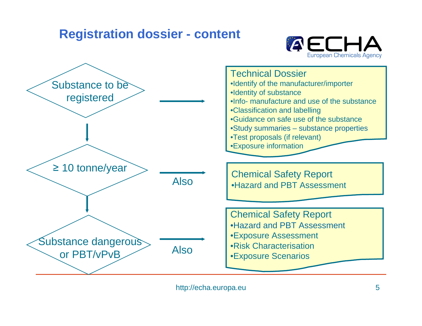### **Registration dossier - content**



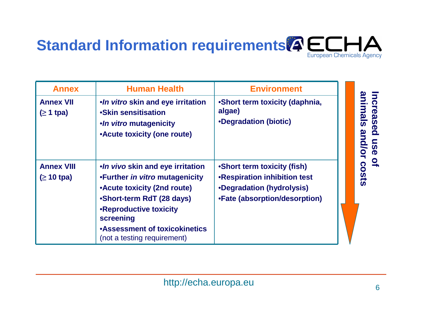

| <b>Annex</b>                          | <b>Human Health</b>                                                                                                                                                                                                                          | <b>Environment</b>                                                                                                               |                                                                                                    |
|---------------------------------------|----------------------------------------------------------------------------------------------------------------------------------------------------------------------------------------------------------------------------------------------|----------------------------------------------------------------------------------------------------------------------------------|----------------------------------------------------------------------------------------------------|
| <b>Annex VII</b><br>$( \geq 1$ tpa)   | .In vitro skin and eye irritation<br>•Skin sensitisation<br>•In vitro mutagenicity<br>• Acute toxicity (one route)                                                                                                                           | •Short term toxicity (daphnia,<br>algae)<br>•Degradation (biotic)                                                                | ncreased<br>$\overline{\mathbf{Q}}$<br>$\overline{w}$<br>Sn<br>$\mathbf{Q}$<br>$\boldsymbol{\Phi}$ |
| <b>Annex VIII</b><br>$( \geq 10$ tpa) | .In vivo skin and eye irritation<br>•Further in vitro mutagenicity<br>•Acute toxicity (2nd route)<br>•Short-term RdT (28 days)<br>•Reproductive toxicity<br>screening<br><b>•Assessment of toxicokinetics</b><br>(not a testing requirement) | •Short term toxicity (fish)<br><b>.Respiration inhibition test</b><br>•Degradation (hydrolysis)<br>•Fate (absorption/desorption) | $\mathbf{Q}_\mathbf{r}$<br><b>COStS</b>                                                            |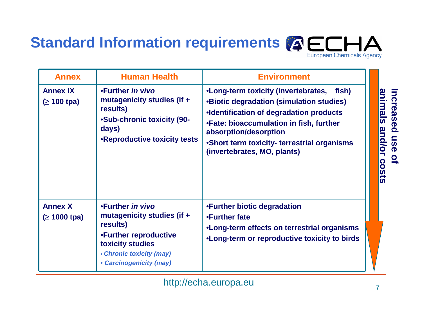

| <b>Annex</b>                         | <b>Human Health</b>                                                                                                                                            | <b>Environment</b>                                                                                                                                                                                                                                                                        |                                          |
|--------------------------------------|----------------------------------------------------------------------------------------------------------------------------------------------------------------|-------------------------------------------------------------------------------------------------------------------------------------------------------------------------------------------------------------------------------------------------------------------------------------------|------------------------------------------|
| <b>Annex IX</b><br>$( \geq 100$ tpa) | •Further in vivo<br>mutagenicity studies (if +<br>results)<br><b>•Sub-chronic toxicity (90-</b><br>days)<br>•Reproductive toxicity tests                       | •Long-term toxicity (invertebrates, fish)<br><b>.Biotic degradation (simulation studies)</b><br>•Identification of degradation products<br>.Fate: bioaccumulation in fish, further<br>absorption/desorption<br>•Short term toxicity- terrestrial organisms<br>(invertebrates, MO, plants) | <u>animals</u><br>and/or<br><b>COStS</b> |
| <b>Annex X</b><br>$( \geq 1000$ tpa) | •Further in vivo<br>mutagenicity studies (if +<br>results)<br>•Further reproductive<br>toxicity studies<br>• Chronic toxicity (may)<br>• Carcinogenicity (may) | •Further biotic degradation<br>•Further fate<br>•Long-term effects on terrestrial organisms<br>. Long-term or reproductive toxicity to birds                                                                                                                                              |                                          |

http://echa.europa.eu

**Increased use of** 

Increased use of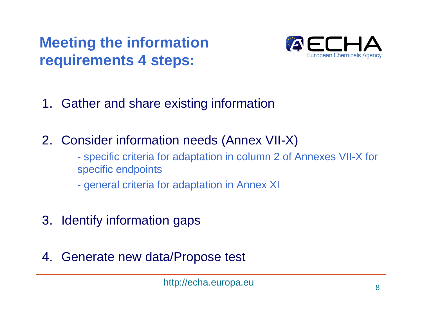## **Meeting the information requirements 4 steps:**



- 1. Gather and share existing information
- 2. Consider information needs (Annex VII-X)
	- specific criteria for adaptation in column 2 of Annexes VII-X for specific endpoints
	- general criteria for adaptation in Annex XI
- 3. Identify information gaps
- 4. Generate new data/Propose test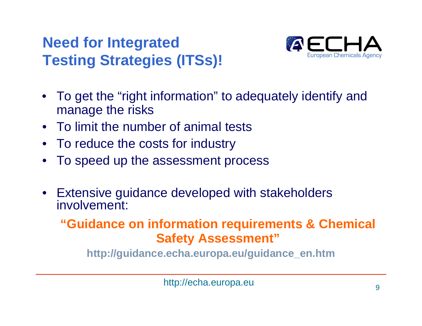### **Need for Integrated Testing Strategies (ITSs)!**



- To get the "right information" to adequately identify and manage the risks
- To limit the number of animal tests
- To reduce the costs for industry
- $\bullet$ To speed up the assessment process
- Extensive guidance developed with stakeholders involvement:

**"Guidance on information requirements & Chemical Safety Assessment"**

**http://guidance.echa.europa.eu/guidance\_en.htm**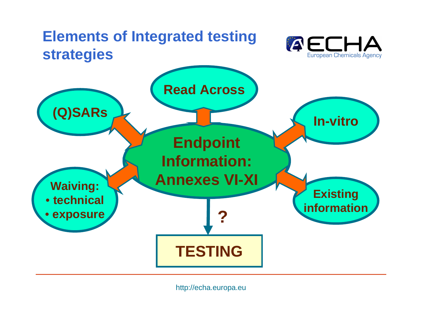

http://echa.europa.eu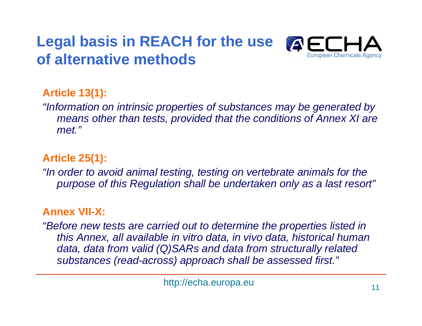## **Legal basis in REACH for the use of alternative methods**



### **Article 13(1):**

"Information on intrinsic properties of substances may be generated by means other than tests, provided that the conditions of Annex XI are met."

#### **Article 25(1):**

"In order to avoid animal testing, testing on vertebrate animals for the purpose of this Regulation shall be undertaken only as a last resort"

#### **Annex VII-X:**

"Before new tests are carried out to determine the properties listed in this Annex, all available in vitro data, in vivo data, historical human data, data from valid (Q)SARs and data from structurally related substances (read-across) approach shall be assessed first."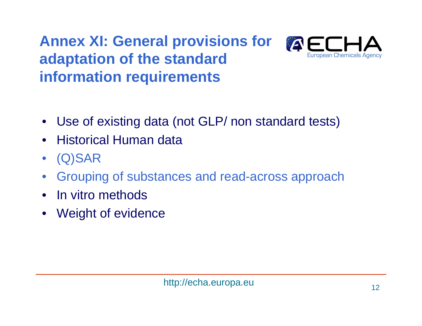## **Annex XI: General provisions for adaptation of the standard information requirements**



- Use of existing data (not GLP/ non standard tests)
- Historical Human data
- $\bullet$ (Q)SAR
- Grouping of substances and read-across approach $\bullet$
- $\bullet$ In vitro methods
- $\bullet$ Weight of evidence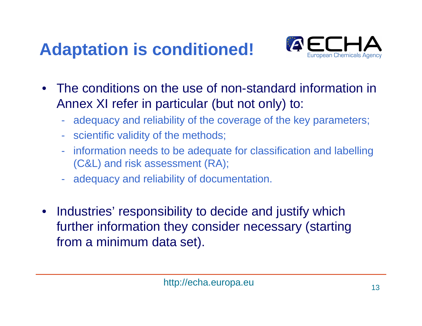# **Adaptation is conditioned!**



- The conditions on the use of non-standard information in Annex XI refer in particular (but not only) to:
	- adequacy and reliability of the coverage of the key parameters;
	- scientific validity of the methods;
	- information needs to be adequate for classification and labelling (C&L) and risk assessment (RA);
	- adequacy and reliability of documentation.
- $\bullet$  Industries' responsibility to decide and justify which further information they consider necessary (starting from a minimum data set).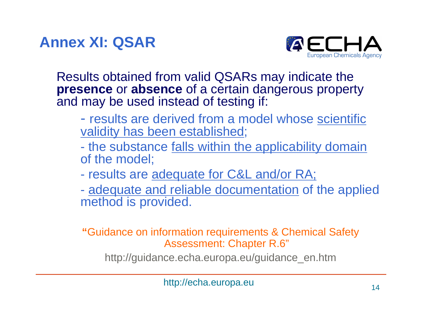**Annex XI: QSAR**



Results obtained from valid QSARs may indicate the **presence** or **absence** of a certain dangerous property and may be used instead of testing if:

- -- results are derived from a model whose scientific validity has been established;
- $\mathcal{L}_{\mathcal{A}}$ the substance falls within the applicability domain of the model;
- $\mathcal{L}_{\mathcal{A}}$ results are adequate for C&L and/or RA;
- adequate and reliable documentation of the applied method is provided.

#### **"**Guidance on information requirements & Chemical Safety Assessment: Chapter R.6"

http://guidance.echa.europa.eu/guidance\_en.htm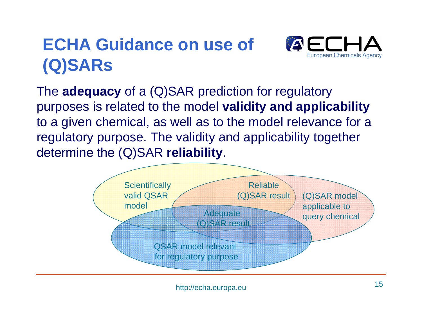# **ECHA Guidance on use of (Q)SARs**



The **adequacy** of a (Q)SAR prediction for regulatory purposes is related to the model **validity and applicability** to a given chemical, as well as to the model relevance for a regulatory purpose. The validity and applicability together determine the (Q)SAR **reliability**.

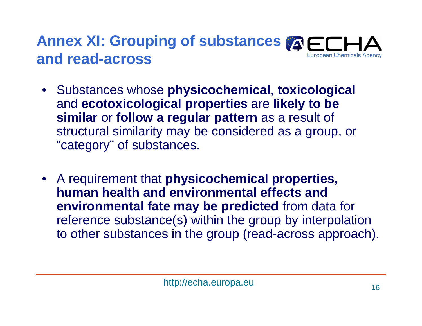#### Annex XI: Grouping of substances **A and read-across**European Chemicals Agency

- Substances whose **physicochemical**, **toxicological** and **ecotoxicological properties** are **likely to be similar** or **follow a regular pattern** as a result of structural similarity may be considered as a group, or "category" of substances.
- A requirement that **physicochemical properties, human health and environmental effects and environmental fate may be predicted** from data for reference substance(s) within the group by interpolation to other substances in the group (read-across approach).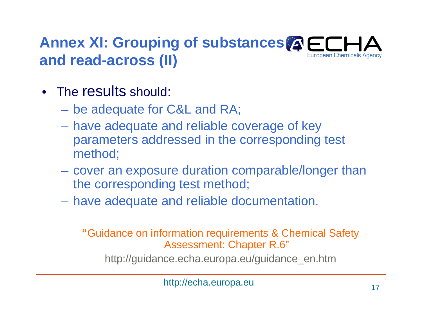#### **Annex XI: Grouping of substances <b>AECI** European Chemicals Agency **and read-across (II)**

- The results should:
	- –be adequate for C&L and RA;
	- have adequate and reliable coverage of key parameters addressed in the corresponding test method;
	- cover an exposure duration comparable/longer than the corresponding test method;
	- –have adequate and reliable documentation.

#### **"**Guidance on information requirements & Chemical Safety Assessment: Chapter R.6"

http://guidance.echa.europa.eu/guidance\_en.htm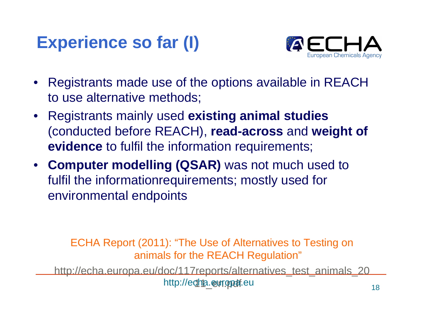## **Experience so far (I)**



- • Registrants made use of the options available in REACH to use alternative methods;
- Registrants mainly used **existing animal studies** (conducted before REACH), **read-across** and **weight of evidence** to fulfil the information requirements;
- **Computer modelling (QSAR)** was not much used to fulfil the informationrequirements; mostly used for environmental endpoints

ECHA Report (2011): "The Use of Alternatives to Testing on animals for the REACH Regulation"

http://echa.europa.eu/doc/117reports/alternatives\_test\_animals\_20http://e**cha.europaf**.eu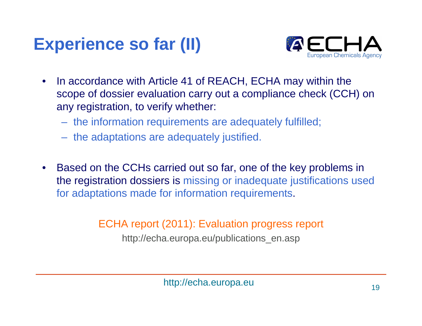# **Experience so far (II)**



- $\bullet$  In accordance with Article 41 of REACH, ECHA may within the scope of dossier evaluation carry out a compliance check (CCH) on any registration, to verify whether:
	- the information requirements are adequately fulfilled;
	- the adaptations are adequately justified.
- $\bullet$  Based on the CCHs carried out so far, one of the key problems in the registration dossiers is missing or inadequate justifications used for adaptations made for information requirements.

#### ECHA report (2011): Evaluation progress report

http://echa.europa.eu/publications\_en.asp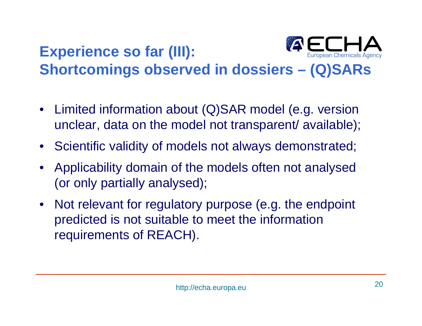#### EE **Experience so far (III): Shortcomings observed in dossiers – (Q)SARs**

- Limited information about (Q)SAR model (e.g. version unclear, data on the model not transparent/ available);
- Scientific validity of models not always demonstrated;
- Applicability domain of the models often not analysed (or only partially analysed);
- Not relevant for regulatory purpose (e.g. the endpoint predicted is not suitable to meet the information requirements of REACH).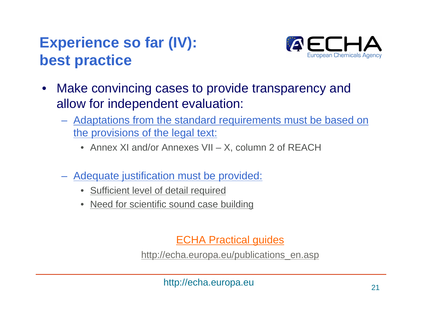## **Experience so far (IV): best practice**



- $\bullet$  Make convincing cases to provide transparency and allow for independent evaluation:
	- Adaptations from the standard requirements must be based on the provisions of the legal text:
		- Annex XI and/or Annexes VII X, column 2 of REACH
	- Adequate justification must be provided:
		- $\bullet$ Sufficient level of detail required
		- Need for scientific sound case building

ECHA Practical guides

http://echa.europa.eu/publications\_en.asp